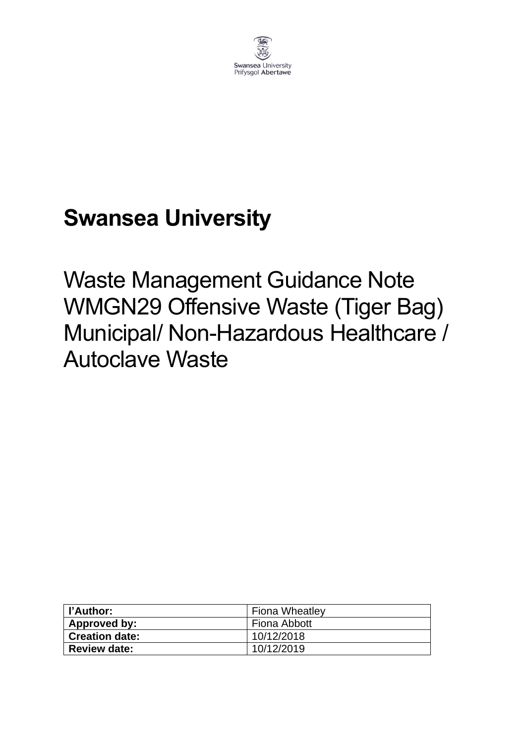

# **Swansea University**

Waste Management Guidance Note WMGN29 Offensive Waste (Tiger Bag) Municipal/ Non-Hazardous Healthcare / Autoclave Waste

| l l'Author:           | <b>Fiona Wheatley</b> |
|-----------------------|-----------------------|
| Approved by:          | Fiona Abbott          |
| <b>Creation date:</b> | 10/12/2018            |
| <b>Review date:</b>   | 10/12/2019            |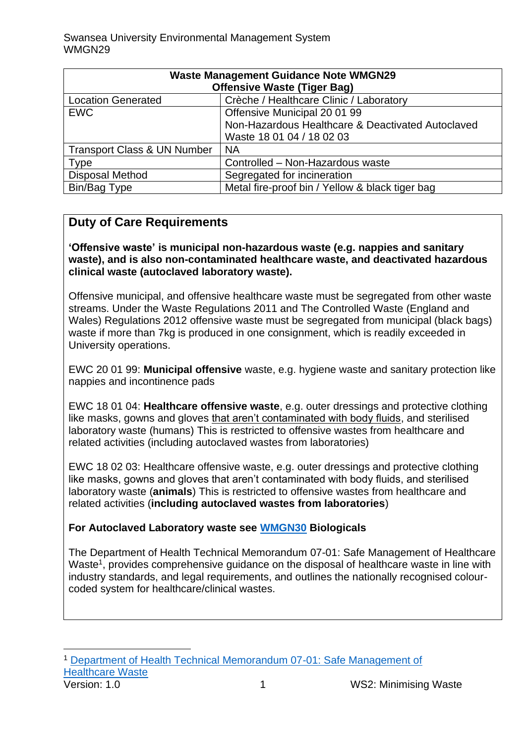| <b>Waste Management Guidance Note WMGN29</b> |                                                   |
|----------------------------------------------|---------------------------------------------------|
| <b>Offensive Waste (Tiger Bag)</b>           |                                                   |
| <b>Location Generated</b>                    | Crèche / Healthcare Clinic / Laboratory           |
| <b>EWC</b>                                   | Offensive Municipal 20 01 99                      |
|                                              | Non-Hazardous Healthcare & Deactivated Autoclaved |
|                                              | Waste 18 01 04 / 18 02 03                         |
| <b>Transport Class &amp; UN Number</b>       | <b>NA</b>                                         |
| <b>Type</b>                                  | Controlled - Non-Hazardous waste                  |
| <b>Disposal Method</b>                       | Segregated for incineration                       |
| Bin/Bag Type                                 | Metal fire-proof bin / Yellow & black tiger bag   |

#### **Duty of Care Requirements**

**'Offensive waste' is municipal non-hazardous waste (e.g. nappies and sanitary waste), and is also non-contaminated healthcare waste, and deactivated hazardous clinical waste (autoclaved laboratory waste).** 

Offensive municipal, and offensive healthcare waste must be segregated from other waste streams. Under the Waste Regulations 2011 and The Controlled Waste (England and Wales) Regulations 2012 offensive waste must be segregated from municipal (black bags) waste if more than 7kg is produced in one consignment, which is readily exceeded in University operations.

EWC 20 01 99: **Municipal offensive** waste, e.g. hygiene waste and sanitary protection like nappies and incontinence pads

EWC 18 01 04: **Healthcare offensive waste**, e.g. outer dressings and protective clothing like masks, gowns and gloves that aren't contaminated with body fluids, and sterilised laboratory waste (humans) This is restricted to offensive wastes from healthcare and related activities (including autoclaved wastes from laboratories)

EWC 18 02 03: Healthcare offensive waste, e.g. outer dressings and protective clothing like masks, gowns and gloves that aren't contaminated with body fluids, and sterilised laboratory waste (**animals**) This is restricted to offensive wastes from healthcare and related activities (**including autoclaved wastes from laboratories**)

#### **For Autoclaved Laboratory waste see [WMGN30](https://www.swansea.ac.uk/media/wmgn30-biological-waste.pdf) Biologicals**

The Department of Health Technical Memorandum 07-01: Safe Management of Healthcare Waste<sup>1</sup>, provides comprehensive guidance on the disposal of healthcare waste in line with industry standards, and legal requirements, and outlines the nationally recognised colourcoded system for healthcare/clinical wastes.

**Version: 1.0** 1 WS2: Minimising Waste <sup>1</sup> [Department of Health Technical Memorandum 07-01: Safe Management of](https://www.gov.uk/government/publications/guidance-on-the-safe-management-of-healthcare-waste)  [Healthcare Waste](https://www.gov.uk/government/publications/guidance-on-the-safe-management-of-healthcare-waste)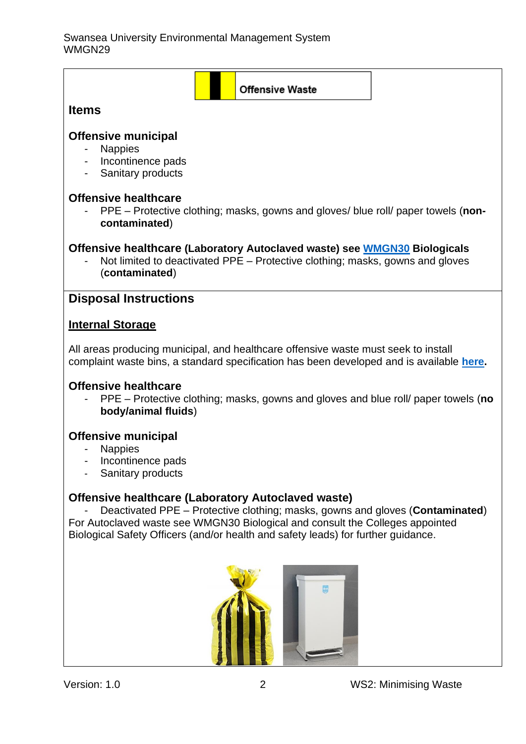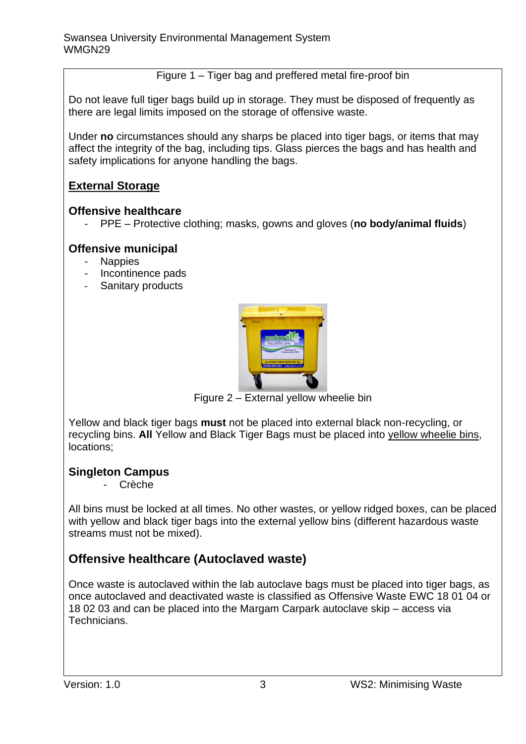Figure 1 – Tiger bag and preffered metal fire-proof bin

Do not leave full tiger bags build up in storage. They must be disposed of frequently as there are legal limits imposed on the storage of offensive waste.

Under **no** circumstances should any sharps be placed into tiger bags, or items that may affect the integrity of the bag, including tips. Glass pierces the bags and has health and safety implications for anyone handling the bags.

#### **External Storage**

#### **Offensive healthcare**

- PPE – Protective clothing; masks, gowns and gloves (**no body/animal fluids**)

#### **Offensive municipal**

- Nappies
- Incontinence pads
- Sanitary products



Figure 2 – External yellow wheelie bin

Yellow and black tiger bags **must** not be placed into external black non-recycling, or recycling bins. **All** Yellow and Black Tiger Bags must be placed into yellow wheelie bins, locations;

#### **Singleton Campus**

- Crèche

All bins must be locked at all times. No other wastes, or yellow ridged boxes, can be placed with yellow and black tiger bags into the external yellow bins (different hazardous waste streams must not be mixed).

### **Offensive healthcare (Autoclaved waste)**

Once waste is autoclaved within the lab autoclave bags must be placed into tiger bags, as once autoclaved and deactivated waste is classified as Offensive Waste EWC 18 01 04 or 18 02 03 and can be placed into the Margam Carpark autoclave skip – access via Technicians.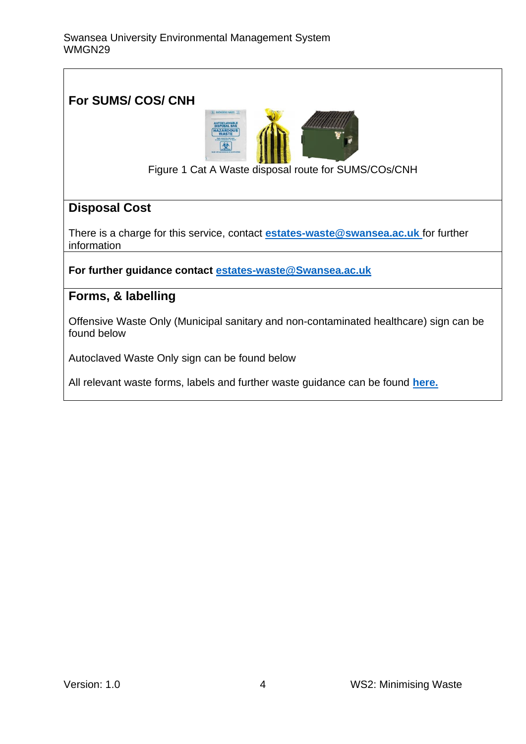#### **For SUMS/ COS/ CNH**



Figure 1 Cat A Waste disposal route for SUMS/COs/CNH

#### **Disposal Cost**

There is a charge for this service, contact **[estates-waste@swansea.ac.uk](mailto:estates-waste@swansea.ac.uk)** for further information

**For further guidance contact [estates-waste@Swansea.ac.uk](mailto:estates-waste@Swansea.ac.uk)**

#### **Forms, & labelling**

Offensive Waste Only (Municipal sanitary and non-contaminated healthcare) sign can be found below

Autoclaved Waste Only sign can be found below

All relevant waste forms, labels and further waste guidance can be found **[here.](https://www.swansea.ac.uk/sustainability/waste/#waste-management-guidance-notes=is-expanded)**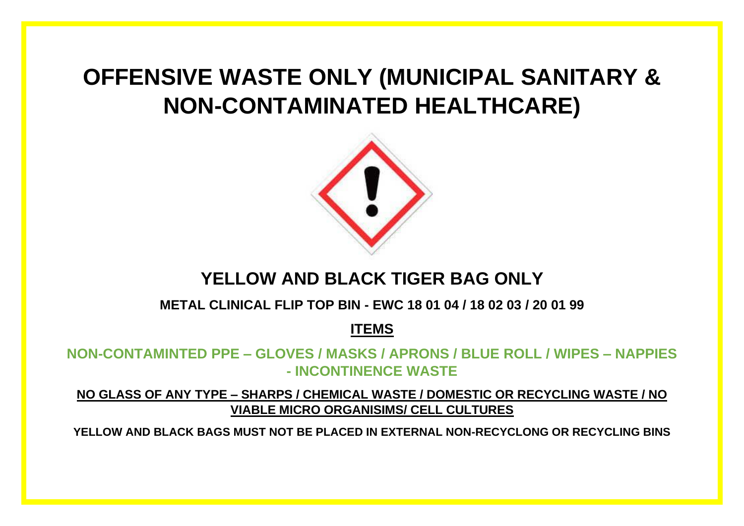# **OFFENSIVE WASTE ONLY (MUNICIPAL SANITARY & NON-CONTAMINATED HEALTHCARE)**



## **YELLOW AND BLACK TIGER BAG ONLY**

**METAL CLINICAL FLIP TOP BIN - EWC 18 01 04 / 18 02 03 / 20 01 99**

**ITEMS**

**NON-CONTAMINTED PPE – GLOVES / MASKS / APRONS / BLUE ROLL / WIPES – NAPPIES - INCONTINENCE WASTE**

**NO GLASS OF ANY TYPE – SHARPS / CHEMICAL WASTE / DOMESTIC OR RECYCLING WASTE / NO VIABLE MICRO ORGANISIMS/ CELL CULTURES**

**YELLOW AND BLACK BAGS MUST NOT BE PLACED IN EXTERNAL NON-RECYCLONG OR RECYCLING BINS**